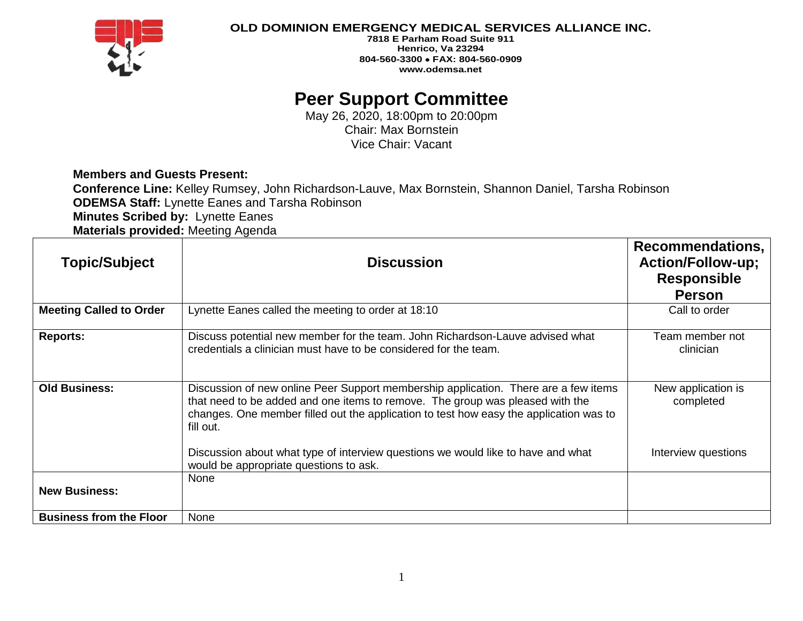

## **OLD DOMINION EMERGENCY MEDICAL SERVICES ALLIANCE INC.**

**7818 E Parham Road Suite 911 Henrico, Va 23294 804-560-3300** • **FAX: 804-560-0909 www.odemsa.net**

## **Peer Support Committee**

May 26, 2020, 18:00pm to 20:00pm Chair: Max Bornstein Vice Chair: Vacant

**Members and Guests Present:**

**Conference Line:** Kelley Rumsey, John Richardson-Lauve, Max Bornstein, Shannon Daniel, Tarsha Robinson **ODEMSA Staff:** Lynette Eanes and Tarsha Robinson **Minutes Scribed by:** Lynette Eanes

**Materials provided:** Meeting Agenda

| <b>Topic/Subject</b>           | <b>Discussion</b>                                                                                                                                                                                                                                                           | <b>Recommendations,</b><br><b>Action/Follow-up;</b><br><b>Responsible</b> |
|--------------------------------|-----------------------------------------------------------------------------------------------------------------------------------------------------------------------------------------------------------------------------------------------------------------------------|---------------------------------------------------------------------------|
|                                |                                                                                                                                                                                                                                                                             | <b>Person</b>                                                             |
| <b>Meeting Called to Order</b> | Lynette Eanes called the meeting to order at 18:10                                                                                                                                                                                                                          | Call to order                                                             |
| <b>Reports:</b>                | Discuss potential new member for the team. John Richardson-Lauve advised what<br>credentials a clinician must have to be considered for the team.                                                                                                                           | Team member not<br>clinician                                              |
| <b>Old Business:</b>           | Discussion of new online Peer Support membership application. There are a few items<br>that need to be added and one items to remove. The group was pleased with the<br>changes. One member filled out the application to test how easy the application was to<br>fill out. | New application is<br>completed                                           |
|                                | Discussion about what type of interview questions we would like to have and what<br>would be appropriate questions to ask.                                                                                                                                                  | Interview questions                                                       |
| <b>New Business:</b>           | None                                                                                                                                                                                                                                                                        |                                                                           |
| <b>Business from the Floor</b> | None                                                                                                                                                                                                                                                                        |                                                                           |